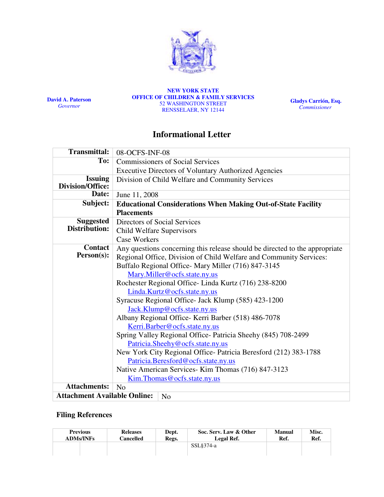

David A. Paterson **Governor** 

NEW YORK STATE OFFICE OF CHILDREN & FAMILY SERVICES 52 WASHINGTON STREET RENSSELAER, NY 12144

Gladys Carrión, Esq. **Commissioner** 

# Informational Letter

| <b>Transmittal:</b>                                   | 08-OCFS-INF-08                                                              |  |  |  |  |  |
|-------------------------------------------------------|-----------------------------------------------------------------------------|--|--|--|--|--|
| To:                                                   | <b>Commissioners of Social Services</b>                                     |  |  |  |  |  |
|                                                       | <b>Executive Directors of Voluntary Authorized Agencies</b>                 |  |  |  |  |  |
| <b>Issuing</b>                                        | Division of Child Welfare and Community Services                            |  |  |  |  |  |
| <b>Division/Office:</b>                               |                                                                             |  |  |  |  |  |
| Date:                                                 | June 11, 2008                                                               |  |  |  |  |  |
| Subject:                                              | <b>Educational Considerations When Making Out-of-State Facility</b>         |  |  |  |  |  |
|                                                       | <b>Placements</b>                                                           |  |  |  |  |  |
| <b>Suggested</b>                                      | Directors of Social Services                                                |  |  |  |  |  |
| Distribution:                                         | Child Welfare Supervisors                                                   |  |  |  |  |  |
|                                                       | <b>Case Workers</b>                                                         |  |  |  |  |  |
| <b>Contact</b>                                        | Any questions concerning this release should be directed to the appropriate |  |  |  |  |  |
| Person(s):                                            | Regional Office, Division of Child Welfare and Community Services:          |  |  |  |  |  |
|                                                       | Buffalo Regional Office-Mary Miller (716) 847-3145                          |  |  |  |  |  |
|                                                       | Mary.Miller@ocfs.state.ny.us                                                |  |  |  |  |  |
|                                                       | Rochester Regional Office-Linda Kurtz (716) 238-8200                        |  |  |  |  |  |
|                                                       | Linda.Kurtz@ocfs.state.ny.us                                                |  |  |  |  |  |
|                                                       | Syracuse Regional Office- Jack Klump (585) 423-1200                         |  |  |  |  |  |
|                                                       | Jack.Klump@ocfs.state.ny.us                                                 |  |  |  |  |  |
|                                                       | Albany Regional Office- Kerri Barber (518) 486-7078                         |  |  |  |  |  |
|                                                       | Kerri.Barber@ocfs.state.ny.us                                               |  |  |  |  |  |
|                                                       | Spring Valley Regional Office- Patricia Sheehy (845) 708-2499               |  |  |  |  |  |
|                                                       | Patricia.Sheehy@ocfs.state.ny.us                                            |  |  |  |  |  |
|                                                       | New York City Regional Office- Patricia Beresford (212) 383-1788            |  |  |  |  |  |
|                                                       | Patricia.Beresford@ocfs.state.ny.us                                         |  |  |  |  |  |
|                                                       | Native American Services- Kim Thomas (716) 847-3123                         |  |  |  |  |  |
|                                                       | Kim.Thomas@ocfs.state.ny.us                                                 |  |  |  |  |  |
| <b>Attachments:</b>                                   | N <sub>o</sub>                                                              |  |  |  |  |  |
| <b>Attachment Available Online:</b><br>N <sub>0</sub> |                                                                             |  |  |  |  |  |

## Filing References

| <b>Previous</b>  | <b>Releases</b>  | Dept. | Soc. Serv. Law & Other | <b>Manual</b> | Misc. |
|------------------|------------------|-------|------------------------|---------------|-------|
| <b>ADMs/INFs</b> | <b>Cancelled</b> | Regs. | Legal Ref.             | Ref.          | Ref.  |
|                  |                  |       | $SSL§374-a$            |               |       |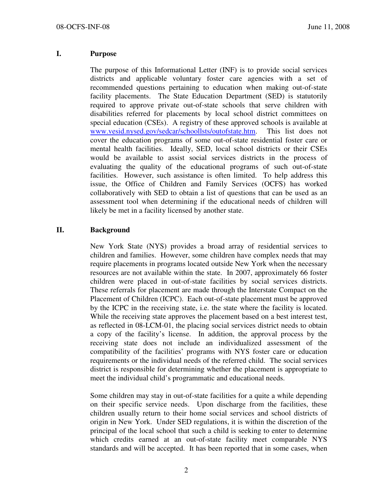#### I. Purpose

The purpose of this Informational Letter (INF) is to provide social services districts and applicable voluntary foster care agencies with a set of recommended questions pertaining to education when making out-of-state facility placements. The State Education Department (SED) is statutorily required to approve private out-of-state schools that serve children with disabilities referred for placements by local school district committees on special education (CSEs). A registry of these approved schools is available at www.vesid.nysed.gov/sedcar/schoollsts/outofstate.htm. This list does not cover the education programs of some out-of-state residential foster care or mental health facilities. Ideally, SED, local school districts or their CSEs would be available to assist social services districts in the process of evaluating the quality of the educational programs of such out-of-state facilities. However, such assistance is often limited. To help address this issue, the Office of Children and Family Services (OCFS) has worked collaboratively with SED to obtain a list of questions that can be used as an assessment tool when determining if the educational needs of children will likely be met in a facility licensed by another state.

### II. Background

New York State (NYS) provides a broad array of residential services to children and families. However, some children have complex needs that may require placements in programs located outside New York when the necessary resources are not available within the state. In 2007, approximately 66 foster children were placed in out-of-state facilities by social services districts. These referrals for placement are made through the Interstate Compact on the Placement of Children (ICPC). Each out-of-state placement must be approved by the ICPC in the receiving state, i.e. the state where the facility is located. While the receiving state approves the placement based on a best interest test, as reflected in 08-LCM-01, the placing social services district needs to obtain a copy of the facility's license. In addition, the approval process by the receiving state does not include an individualized assessment of the compatibility of the facilities' programs with NYS foster care or education requirements or the individual needs of the referred child. The social services district is responsible for determining whether the placement is appropriate to meet the individual child's programmatic and educational needs.

Some children may stay in out-of-state facilities for a quite a while depending on their specific service needs. Upon discharge from the facilities, these children usually return to their home social services and school districts of origin in New York. Under SED regulations, it is within the discretion of the principal of the local school that such a child is seeking to enter to determine which credits earned at an out-of-state facility meet comparable NYS standards and will be accepted. It has been reported that in some cases, when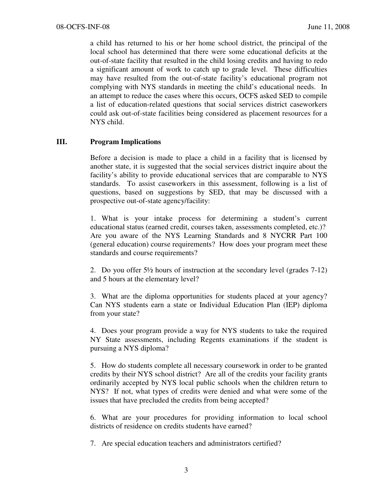a child has returned to his or her home school district, the principal of the local school has determined that there were some educational deficits at the out-of-state facility that resulted in the child losing credits and having to redo a significant amount of work to catch up to grade level. These difficulties may have resulted from the out-of-state facility's educational program not complying with NYS standards in meeting the child's educational needs. In an attempt to reduce the cases where this occurs, OCFS asked SED to compile a list of education-related questions that social services district caseworkers could ask out-of-state facilities being considered as placement resources for a NYS child.

#### III. Program Implications

Before a decision is made to place a child in a facility that is licensed by another state, it is suggested that the social services district inquire about the facility's ability to provide educational services that are comparable to NYS standards. To assist caseworkers in this assessment, following is a list of questions, based on suggestions by SED, that may be discussed with a prospective out-of-state agency/facility:

1. What is your intake process for determining a student's current educational status (earned credit, courses taken, assessments completed, etc.)? Are you aware of the NYS Learning Standards and 8 NYCRR Part 100 (general education) course requirements? How does your program meet these standards and course requirements?

2. Do you offer  $5\frac{1}{2}$  hours of instruction at the secondary level (grades  $7-12$ ) and 5 hours at the elementary level?

3. What are the diploma opportunities for students placed at your agency? Can NYS students earn a state or Individual Education Plan (IEP) diploma from your state?

4. Does your program provide a way for NYS students to take the required NY State assessments, including Regents examinations if the student is pursuing a NYS diploma?

5. How do students complete all necessary coursework in order to be granted credits by their NYS school district? Are all of the credits your facility grants ordinarily accepted by NYS local public schools when the children return to NYS? If not, what types of credits were denied and what were some of the issues that have precluded the credits from being accepted?

6. What are your procedures for providing information to local school districts of residence on credits students have earned?

7. Are special education teachers and administrators certified?